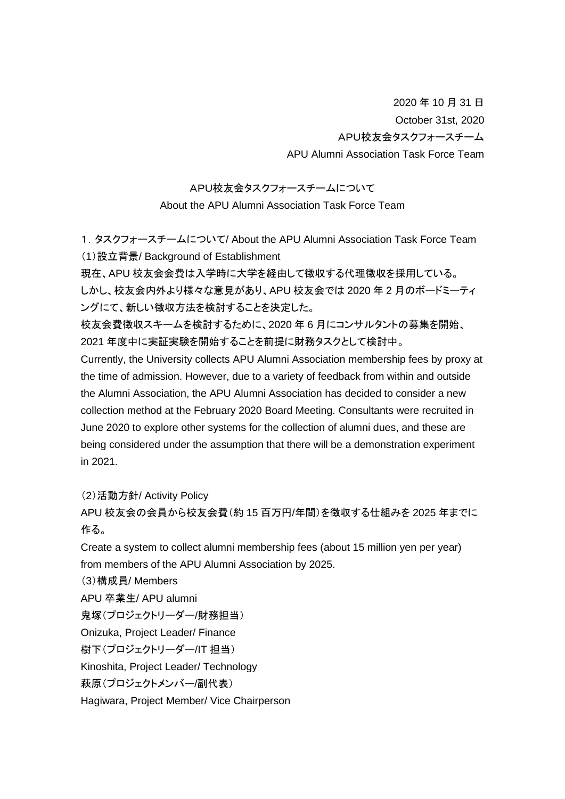2020 年 10 月 31 日 October 31st, 2020 APU校友会タスクフォースチーム APU Alumni Association Task Force Team

## APU校友会タスクフォースチームについて

About the APU Alumni Association Task Force Team

1.タスクフォースチームについて/ About the APU Alumni Association Task Force Team (1)設立背景/ Background of Establishment

現在、APU 校友会会費は入学時に大学を経由して徴収する代理徴収を採用している。 しかし、校友会内外より様々な意見があり、APU 校友会では 2020 年 2 月のボードミーティ ングにて、新しい徴収方法を検討することを決定した。

校友会費徴収スキームを検討するために、2020 年 6 月にコンサルタントの募集を開始、 2021 年度中に実証実験を開始することを前提に財務タスクとして検討中。

Currently, the University collects APU Alumni Association membership fees by proxy at the time of admission. However, due to a variety of feedback from within and outside the Alumni Association, the APU Alumni Association has decided to consider a new collection method at the February 2020 Board Meeting. Consultants were recruited in June 2020 to explore other systems for the collection of alumni dues, and these are being considered under the assumption that there will be a demonstration experiment in 2021.

(2)活動方針/ Activity Policy

APU 校友会の会員から校友会費(約 15 百万円/年間)を徴収する仕組みを 2025 年までに 作る。

Create a system to collect alumni membership fees (about 15 million yen per year) from members of the APU Alumni Association by 2025.

(3)構成員/ Members

APU 卒業生/ APU alumni

鬼塚(プロジェクトリーダー/財務担当)

Onizuka, Project Leader/ Finance

樹下(プロジェクトリーダー/IT 担当)

Kinoshita, Project Leader/ Technology

萩原(プロジェクトメンバー/副代表)

Hagiwara, Project Member/ Vice Chairperson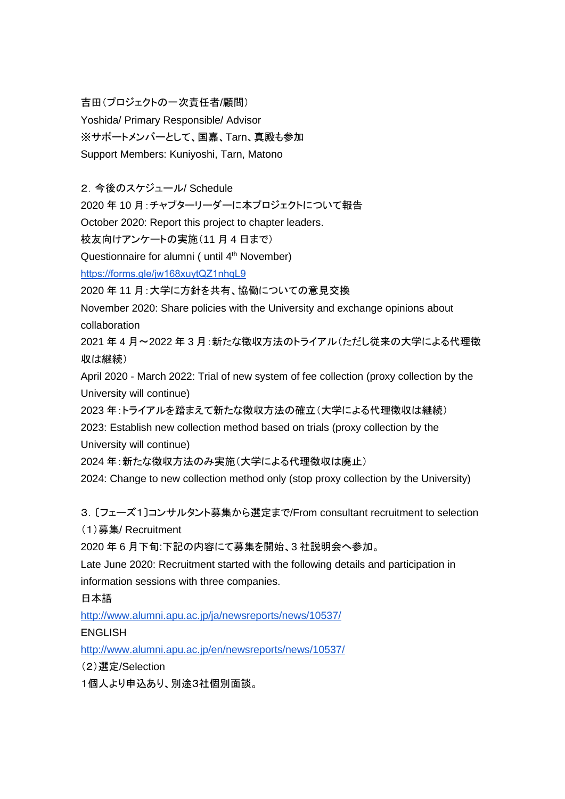吉田(プロジェクトの一次責任者/顧問)

Yoshida/ Primary Responsible/ Advisor

※サポートメンバーとして、国嘉、Tarn、真殿も参加

Support Members: Kuniyoshi, Tarn, Matono

2.今後のスケジュール/ Schedule

2020 年 10 月:チャプターリーダーに本プロジェクトについて報告

October 2020: Report this project to chapter leaders.

校友向けアンケートの実施(11 月 4 日まで)

Questionnaire for alumni ( until 4<sup>th</sup> November)

<https://forms.gle/jw168xuytQZ1nhqL9>

2020 年 11 月:大学に方針を共有、協働についての意見交換

November 2020: Share policies with the University and exchange opinions about collaboration

2021 年 4 月~2022 年 3 月:新たな徴収方法のトライアル(ただし従来の大学による代理徴 収は継続)

April 2020 - March 2022: Trial of new system of fee collection (proxy collection by the University will continue)

2023 年:トライアルを踏まえて新たな徴収方法の確立(大学による代理徴収は継続)

2023: Establish new collection method based on trials (proxy collection by the University will continue)

2024 年:新たな徴収方法のみ実施(大学による代理徴収は廃止)

2024: Change to new collection method only (stop proxy collection by the University)

3.〔フェーズ1〕コンサルタント募集から選定まで/From consultant recruitment to selection

(1)募集/ Recruitment

2020 年 6 月下旬:下記の内容にて募集を開始、3 社説明会へ参加。

Late June 2020: Recruitment started with the following details and participation in information sessions with three companies.

日本語

<http://www.alumni.apu.ac.jp/ja/newsreports/news/10537/>

ENGLISH

<http://www.alumni.apu.ac.jp/en/newsreports/news/10537/>

(2)選定/Selection

1個人より申込あり、別途3社個別面談。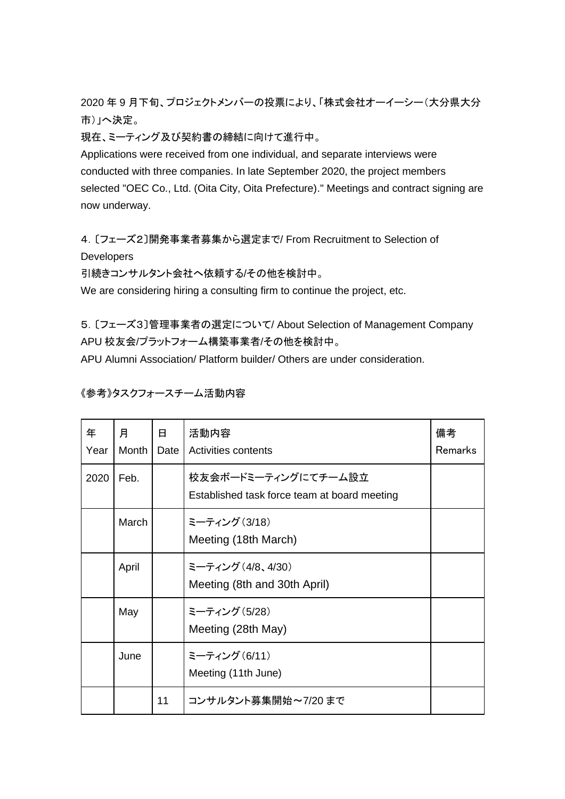2020 年 9 月下旬、プロジェクトメンバーの投票により、「株式会社オーイーシー(大分県大分 市)」へ決定。

現在、ミーティング及び契約書の締結に向けて進行中。

Applications were received from one individual, and separate interviews were conducted with three companies. In late September 2020, the project members selected "OEC Co., Ltd. (Oita City, Oita Prefecture)." Meetings and contract signing are now underway.

4.〔フェーズ2〕開発事業者募集から選定まで/ From Recruitment to Selection of **Developers** 

引続きコンサルタント会社へ依頼する/その他を検討中。

We are considering hiring a consulting firm to continue the project, etc.

5.〔フェーズ3〕管理事業者の選定について/ About Selection of Management Company APU 校友会/プラットフォーム構築事業者/その他を検討中。

APU Alumni Association/ Platform builder/ Others are under consideration.

《参考》タスクフォースチーム活動内容

| 年<br>Year | 月<br>Month | 8<br>Date | 活動内容<br>Activities contents                                         | 備考<br>Remarks |
|-----------|------------|-----------|---------------------------------------------------------------------|---------------|
| 2020      | Feb.       |           | 校友会ボードミーティングにてチーム設立<br>Established task force team at board meeting |               |
|           | March      |           | ミーティング (3/18)<br>Meeting (18th March)                               |               |
|           | April      |           | ミーティング (4/8、4/30)<br>Meeting (8th and 30th April)                   |               |
|           | May        |           | ミーティング (5/28)<br>Meeting (28th May)                                 |               |
|           | June       |           | ミーティング (6/11)<br>Meeting (11th June)                                |               |
|           |            | 11        | コンサルタント募集開始~7/20 まで                                                 |               |